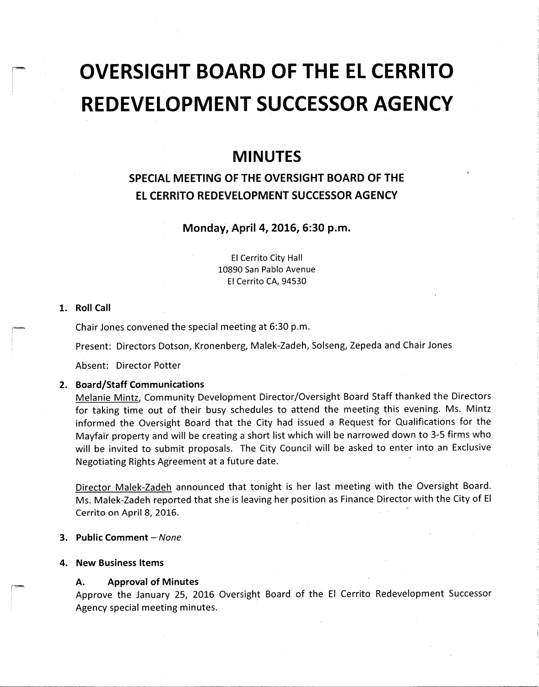# **OVERSIGHT BOARD OF THE EL CERRITO** REDEVELOPMENT SUCCESSOR AGENCY

## MINUTES

# SPECIAL MEETING OF THE OVERSIGHT BOARD OF THE EL CERRITO REDEVELOPMENT SUCCESSOR AGENCY

## Monday, April 4, 2016, 6:30 p.m.

El Cerrito City Hail 10890 San Pablo Avenue El Cerrito CA, 94530

#### 1. Roll Call

Chair Jones convened the special meeting at 6: 30 p. m.

Present: Directors Dotson, Kronenberg, Malek-Zadeh, Solseng, Zepeda and Chair Jones

Absent: Director Potter

#### 2. Board/Staff Communications

Melanie Mintz, Community Development Director/ Oversight Board Staff thanked the Directors for taking time out of their busy schedules to attend the meeting this evening. Ms. Mintz informed the Oversight Board that the City had issued <sup>a</sup> Request for Qualifications for the Mayfair property and will be creating a short list which will be narrowed down to 3-5 firms who will be invited to submit proposals. The City Council will be asked to enter into an Exclusive Negotiating Rights Agreement at <sup>a</sup> future date.

Director Malek-Zadeh announced that tonight is her last meeting with the Oversight Board. Ms. Malek-Zadeh reported that she is leaving her position as Finance Director with the City of El Cerrito on April 8, 2016.

#### 3. Public Comment - None

#### 4. New Business Items

#### A. Approval of Minutes

Approve the January 25, 2016 Oversight Board of the El Cerrito Redevelopment Successor Agency special meeting minutes.